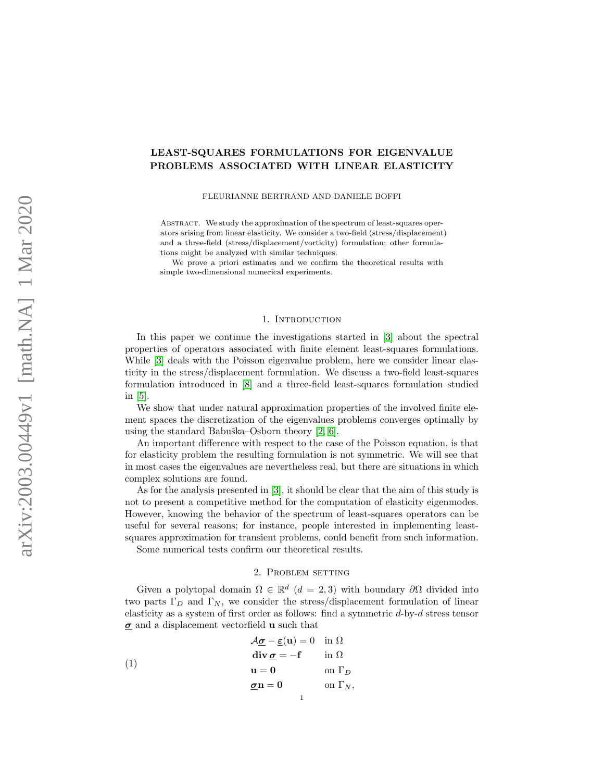# LEAST-SQUARES FORMULATIONS FOR EIGENVALUE PROBLEMS ASSOCIATED WITH LINEAR ELASTICITY

### FLEURIANNE BERTRAND AND DANIELE BOFFI

ABSTRACT. We study the approximation of the spectrum of least-squares operators arising from linear elasticity. We consider a two-field (stress/displacement) and a three-field (stress/displacement/vorticity) formulation; other formulations might be analyzed with similar techniques.

We prove a priori estimates and we confirm the theoretical results with simple two-dimensional numerical experiments.

#### 1. INTRODUCTION

In this paper we continue the investigations started in [\[3\]](#page-10-0) about the spectral properties of operators associated with finite element least-squares formulations. While [\[3\]](#page-10-0) deals with the Poisson eigenvalue problem, here we consider linear elasticity in the stress/displacement formulation. We discuss a two-field least-squares formulation introduced in [\[8\]](#page-10-1) and a three-field least-squares formulation studied in [\[5\]](#page-10-2).

We show that under natural approximation properties of the involved finite element spaces the discretization of the eigenvalues problems converges optimally by using the standard Babuška–Osborn theory  $[2, 6]$  $[2, 6]$ .

An important difference with respect to the case of the Poisson equation, is that for elasticity problem the resulting formulation is not symmetric. We will see that in most cases the eigenvalues are nevertheless real, but there are situations in which complex solutions are found.

As for the analysis presented in [\[3\]](#page-10-0), it should be clear that the aim of this study is not to present a competitive method for the computation of elasticity eigenmodes. However, knowing the behavior of the spectrum of least-squares operators can be useful for several reasons; for instance, people interested in implementing leastsquares approximation for transient problems, could benefit from such information.

Some numerical tests confirm our theoretical results.

# <span id="page-0-0"></span>2. Problem setting

Given a polytopal domain  $\Omega \in \mathbb{R}^d$  ( $d = 2, 3$ ) with boundary  $\partial \Omega$  divided into two parts  $\Gamma_D$  and  $\Gamma_N$ , we consider the stress/displacement formulation of linear elasticity as a system of first order as follows: find a symmetric d-by-d stress tensor  $\sigma$  and a displacement vectorfield **u** such that

(1)  
\n
$$
\begin{aligned}\n\mathcal{A}_{\underline{\sigma}} - \underline{\varepsilon}(\mathbf{u}) &= 0 \text{ in } \Omega \\
\text{div } \underline{\sigma} &= -\mathbf{f} \text{ in } \Omega \\
\mathbf{u} &= 0 \text{ on } \Gamma_D \\
\underline{\sigma}\mathbf{n} &= 0 \text{ on } \Gamma_N,\n\end{aligned}
$$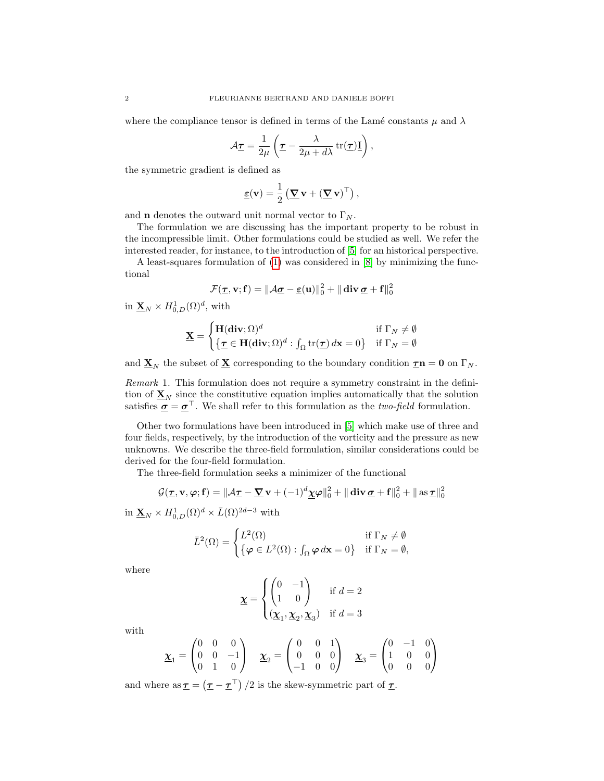where the compliance tensor is defined in terms of the Lamé constants  $\mu$  and  $\lambda$ 

$$
\mathcal{A}_{\mathcal{I}} = \frac{1}{2\mu} \left( \mathcal{I} - \frac{\lambda}{2\mu + d\lambda} \operatorname{tr}(\mathcal{I}) \mathbf{I} \right),
$$

the symmetric gradient is defined as

$$
\underline{\boldsymbol{\varepsilon}}(\mathbf{v}) = \frac{1}{2} \left( \underline{\boldsymbol{\nabla}} \mathbf{v} + (\underline{\boldsymbol{\nabla}} \mathbf{v})^{\top} \right),
$$

and **n** denotes the outward unit normal vector to  $\Gamma_N$ .

The formulation we are discussing has the important property to be robust in the incompressible limit. Other formulations could be studied as well. We refer the interested reader, for instance, to the introduction of [\[5\]](#page-10-2) for an historical perspective.

A least-squares formulation of [\(1\)](#page-0-0) was considered in [\[8\]](#page-10-1) by minimizing the functional

$$
\mathcal{F}(\underline{\tau},\mathbf{v};\mathbf{f}) = \|\mathcal{A}\underline{\sigma} - \underline{\varepsilon}(\mathbf{u})\|_0^2 + \|\mathop{\mathrm{div}} \underline{\sigma} + \mathbf{f}\|_0^2
$$

in  $\underline{\mathbf{X}}_N \times H^1_{0,D}(\Omega)^d$ , with

$$
\mathbf{\underline{X}} = \begin{cases} \mathbf{H}(\mathbf{div}; \Omega)^d & \text{if } \Gamma_N \neq \emptyset \\ \{ \mathbf{\underline{\tau}} \in \mathbf{H}(\mathbf{div}; \Omega)^d : \int_{\Omega} \text{tr}(\mathbf{\underline{\tau}}) d\mathbf{x} = 0 \} & \text{if } \Gamma_N = \emptyset \end{cases}
$$

and  $\underline{\mathbf{X}}_N$  the subset of  $\underline{\mathbf{X}}$  corresponding to the boundary condition  $\underline{\boldsymbol{\tau}}\mathbf{n} = \mathbf{0}$  on  $\Gamma_N$ .

Remark 1. This formulation does not require a symmetry constraint in the definition of  $\underline{\mathbf{X}}_N$  since the constitutive equation implies automatically that the solution satisfies  $\underline{\sigma} = \underline{\sigma}^{\top}$ . We shall refer to this formulation as the *two-field* formulation.

Other two formulations have been introduced in [\[5\]](#page-10-2) which make use of three and four fields, respectively, by the introduction of the vorticity and the pressure as new unknowns. We describe the three-field formulation, similar considerations could be derived for the four-field formulation.

The three-field formulation seeks a minimizer of the functional

$$
\mathcal{G}(\underline{\tau}, \mathbf{v}, \varphi; \mathbf{f}) = \|\mathcal{A}\underline{\tau} - \underline{\nabla}\,\mathbf{v} + (-1)^d \underline{\chi}\varphi\|_0^2 + \|\mathbf{div}\,\underline{\sigma} + \mathbf{f}\|_0^2 + \|\mathbf{as}\,\underline{\tau}\|_0^2
$$

in  $\underline{\mathbf{X}}_N \times H^1_{0,D}(\Omega)^d \times \overline{L}(\Omega)^{2d-3}$  with

$$
\bar{L}^2(\Omega) = \begin{cases} L^2(\Omega) & \text{if } \Gamma_N \neq \emptyset \\ \{\varphi \in L^2(\Omega) : \int_{\Omega} \varphi \, d\mathbf{x} = 0\} & \text{if } \Gamma_N = \emptyset, \end{cases}
$$

where

$$
\underline{\chi} = \begin{cases} \begin{pmatrix} 0 & -1 \\ 1 & 0 \end{pmatrix} & \text{if } d = 2 \\ \left(\underline{\chi}_1, \underline{\chi}_2, \underline{\chi}_3\right) & \text{if } d = 3 \end{cases}
$$

with

$$
\underline{\mathbf{X}}_1 = \begin{pmatrix} 0 & 0 & 0 \\ 0 & 0 & -1 \\ 0 & 1 & 0 \end{pmatrix} \quad \underline{\mathbf{X}}_2 = \begin{pmatrix} 0 & 0 & 1 \\ 0 & 0 & 0 \\ -1 & 0 & 0 \end{pmatrix} \quad \underline{\mathbf{X}}_3 = \begin{pmatrix} 0 & -1 & 0 \\ 1 & 0 & 0 \\ 0 & 0 & 0 \end{pmatrix}
$$

and where as  $\underline{\tau} = (\underline{\tau} - \underline{\tau}^{\top})/2$  is the skew-symmetric part of  $\underline{\tau}$ .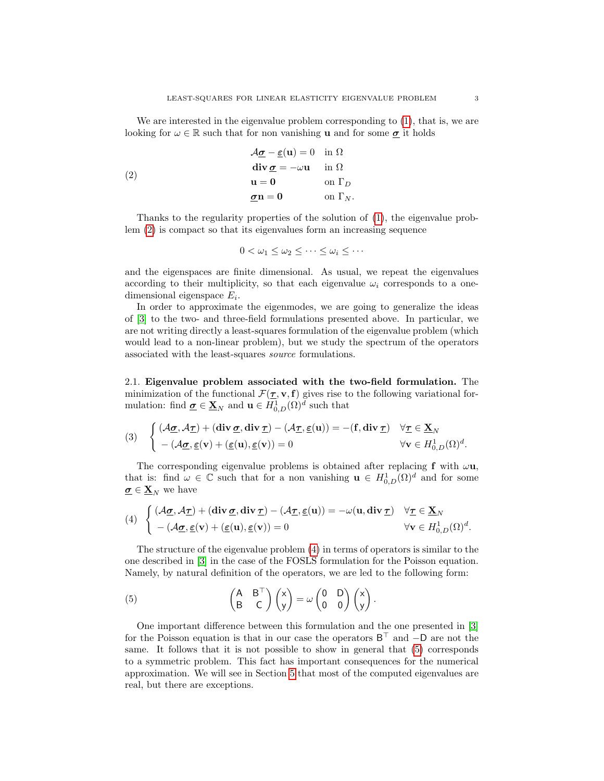We are interested in the eigenvalue problem corresponding to [\(1\)](#page-0-0), that is, we are looking for  $\omega \in \mathbb{R}$  such that for non vanishing **u** and for some  $\sigma$  it holds

(2)  
\n
$$
\begin{aligned}\n\mathcal{A}_{\underline{\sigma}} - \underline{\epsilon}(\mathbf{u}) &= 0 \text{ in } \Omega \\
\text{div } \underline{\sigma} &= -\omega \mathbf{u} \text{ in } \Omega \\
\mathbf{u} &= 0 \text{ on } \Gamma_D \\
\underline{\sigma} \mathbf{n} &= 0 \text{ on } \Gamma_N.\n\end{aligned}
$$

Thanks to the regularity properties of the solution of [\(1\)](#page-0-0), the eigenvalue problem [\(2\)](#page-2-0) is compact so that its eigenvalues form an increasing sequence

<span id="page-2-0"></span>
$$
0 < \omega_1 \leq \omega_2 \leq \cdots \leq \omega_i \leq \cdots
$$

and the eigenspaces are finite dimensional. As usual, we repeat the eigenvalues according to their multiplicity, so that each eigenvalue  $\omega_i$  corresponds to a onedimensional eigenspace  $E_i$ .

In order to approximate the eigenmodes, we are going to generalize the ideas of [\[3\]](#page-10-0) to the two- and three-field formulations presented above. In particular, we are not writing directly a least-squares formulation of the eigenvalue problem (which would lead to a non-linear problem), but we study the spectrum of the operators associated with the least-squares source formulations.

2.1. Eigenvalue problem associated with the two-field formulation. The minimization of the functional  $\mathcal{F}(\mathbf{r}, \mathbf{v}, \mathbf{f})$  gives rise to the following variational formulation: find  $\underline{\sigma} \in \underline{\mathbf{X}}_N$  and  $\mathbf{u} \in H^1_{0,D}(\Omega)^d$  such that

<span id="page-2-3"></span>(3) 
$$
\begin{cases} (\mathcal{A}_{\underline{\sigma}}, \mathcal{A}_{\underline{\tau}}) + (\mathbf{div}_{\underline{\sigma}}, \mathbf{div}_{\underline{\tau}}) - (\mathcal{A}_{\underline{\tau}}, \underline{\varepsilon}(\mathbf{u})) = -(\mathbf{f}, \mathbf{div}_{\underline{\tau}}) & \forall \underline{\tau} \in \underline{\mathbf{X}}_N \\ - (\mathcal{A}_{\underline{\sigma}}, \underline{\varepsilon}(\mathbf{v}) + (\underline{\varepsilon}(\mathbf{u}), \underline{\varepsilon}(\mathbf{v})) = 0 & \forall \mathbf{v} \in H^1_{0, D}(\Omega)^d. \end{cases}
$$

The corresponding eigenvalue problems is obtained after replacing f with  $\omega$ **u**, that is: find  $\omega \in \mathbb{C}$  such that for a non vanishing  $\mathbf{u} \in H^1_{0,D}(\Omega)^d$  and for some  $\underline{\sigma} \in \underline{\mathbf{X}}_N$  we have

<span id="page-2-1"></span>(4) 
$$
\begin{cases} (\mathcal{A}\underline{\sigma}, \mathcal{A}\underline{\tau}) + (\text{div }\underline{\sigma}, \text{div }\underline{\tau}) - (\mathcal{A}\underline{\tau}, \underline{\varepsilon}(\mathbf{u})) = -\omega(\mathbf{u}, \text{div }\underline{\tau}) & \forall \underline{\tau} \in \underline{\mathbf{X}}_N \\ -(\mathcal{A}\underline{\sigma}, \underline{\varepsilon}(\mathbf{v}) + (\underline{\varepsilon}(\mathbf{u}), \underline{\varepsilon}(\mathbf{v})) = 0 & \forall \mathbf{v} \in H^1_{0, D}(\Omega)^d. \end{cases}
$$

The structure of the eigenvalue problem [\(4\)](#page-2-1) in terms of operators is similar to the one described in [\[3\]](#page-10-0) in the case of the FOSLS formulation for the Poisson equation. Namely, by natural definition of the operators, we are led to the following form:

.

<span id="page-2-2"></span>(5) 
$$
\begin{pmatrix} A & B^{\top} \\ B & C \end{pmatrix} \begin{pmatrix} x \\ y \end{pmatrix} = \omega \begin{pmatrix} 0 & D \\ 0 & 0 \end{pmatrix} \begin{pmatrix} x \\ y \end{pmatrix}
$$

One important difference between this formulation and the one presented in [\[3\]](#page-10-0) for the Poisson equation is that in our case the operators  $B^{\top}$  and  $-D$  are not the same. It follows that it is not possible to show in general that [\(5\)](#page-2-2) corresponds to a symmetric problem. This fact has important consequences for the numerical approximation. We will see in Section [5](#page-7-0) that most of the computed eigenvalues are real, but there are exceptions.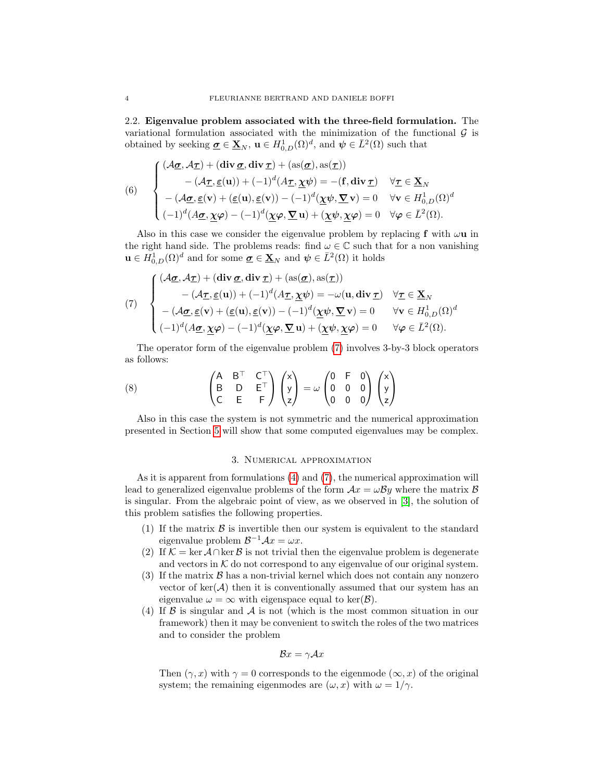2.2. Eigenvalue problem associated with the three-field formulation. The variational formulation associated with the minimization of the functional  $\mathcal G$  is obtained by seeking  $\underline{\sigma} \in \underline{\mathbf{X}}_N$ ,  $\mathbf{u} \in H^1_{0,D}(\Omega)^d$ , and  $\psi \in \overline{L}^2(\Omega)$  such that

<span id="page-3-1"></span>(6)  
\n
$$
\begin{cases}\n(\mathcal{A}\underline{\sigma}, \mathcal{A}\underline{\tau}) + (\text{div }\underline{\sigma}, \text{div }\underline{\tau}) + (\text{as}(\underline{\sigma}), \text{as}(\underline{\tau})) \\
-(\mathcal{A}\underline{\tau}, \underline{\epsilon}(\mathbf{u})) + (-1)^d (\mathcal{A}\underline{\tau}, \underline{\chi}\psi) = -(\mathbf{f}, \text{div }\underline{\tau}) \quad \forall \underline{\tau} \in \underline{\mathbf{X}}_N \\
-(\mathcal{A}\underline{\sigma}, \underline{\epsilon}(\mathbf{v}) + (\underline{\epsilon}(\mathbf{u}), \underline{\epsilon}(\mathbf{v})) - (-1)^d (\underline{\chi}\psi, \underline{\nabla}\mathbf{v}) = 0 \quad \forall \mathbf{v} \in H^1_{0, D}(\Omega)^d \\
(-1)^d (\mathcal{A}\underline{\sigma}, \underline{\chi}\varphi) - (-1)^d (\underline{\chi}\varphi, \underline{\nabla}\mathbf{u}) + (\underline{\chi}\psi, \underline{\chi}\varphi) = 0 \quad \forall \varphi \in \bar{L}^2(\Omega).\n\end{cases}
$$

Also in this case we consider the eigenvalue problem by replacing f with  $\omega$ **u** in the right hand side. The problems reads: find  $\omega \in \mathbb{C}$  such that for a non vanishing  $\mathbf{u} \in H^1_{0,D}(\Omega)^d$  and for some  $\underline{\sigma} \in \underline{\mathbf{X}}_N$  and  $\psi \in \overline{L}^2(\Omega)$  it holds

<span id="page-3-0"></span>(7) 
$$
\begin{cases}\n(\mathcal{A}\underline{\sigma}, \mathcal{A}\underline{\tau}) + (\text{div }\underline{\sigma}, \text{div }\underline{\tau}) + (\text{as}(\underline{\sigma}), \text{as}(\underline{\tau})) \\
-(\mathcal{A}\underline{\tau}, \underline{\epsilon}(\mathbf{u})) + (-1)^d (\mathcal{A}\underline{\tau}, \underline{\chi}\psi) = -\omega(\mathbf{u}, \text{div }\underline{\tau}) & \forall \underline{\tau} \in \underline{\mathbf{X}}_N \\
-(\mathcal{A}\underline{\sigma}, \underline{\epsilon}(\mathbf{v}) + (\underline{\epsilon}(\mathbf{u}), \underline{\epsilon}(\mathbf{v})) - (-1)^d (\underline{\chi}\psi, \underline{\nabla}\mathbf{v}) = 0 & \forall \mathbf{v} \in H^1_{0, D}(\Omega)^d \\
(-1)^d (\mathcal{A}\underline{\sigma}, \underline{\chi}\varphi) - (-1)^d (\underline{\chi}\varphi, \underline{\nabla}\mathbf{u}) + (\underline{\chi}\psi, \underline{\chi}\varphi) = 0 & \forall \varphi \in \bar{L}^2(\Omega).\n\end{cases}
$$

The operator form of the eigenvalue problem [\(7\)](#page-3-0) involves 3-by-3 block operators as follows:

(8) 
$$
\begin{pmatrix} A & B^{\top} & C^{\top} \\ B & D & E^{\top} \\ C & E & F \end{pmatrix} \begin{pmatrix} x \\ y \\ z \end{pmatrix} = \omega \begin{pmatrix} 0 & F & 0 \\ 0 & 0 & 0 \\ 0 & 0 & 0 \end{pmatrix} \begin{pmatrix} x \\ y \\ z \end{pmatrix}
$$

Also in this case the system is not symmetric and the numerical approximation presented in Section [5](#page-7-0) will show that some computed eigenvalues may be complex.

## 3. Numerical approximation

As it is apparent from formulations [\(4\)](#page-2-1) and [\(7\)](#page-3-0), the numerical approximation will lead to generalized eigenvalue problems of the form  $Ax = \omega By$  where the matrix  $\beta$ is singular. From the algebraic point of view, as we observed in [\[3\]](#page-10-0), the solution of this problem satisfies the following properties.

- (1) If the matrix  $\beta$  is invertible then our system is equivalent to the standard eigenvalue problem  $\mathcal{B}^{-1} \mathcal{A} x = \omega x$ .
- (2) If  $\mathcal{K} = \ker \mathcal{A} \cap \ker \mathcal{B}$  is not trivial then the eigenvalue problem is degenerate and vectors in  $K$  do not correspond to any eigenvalue of our original system.
- (3) If the matrix  $\beta$  has a non-trivial kernel which does not contain any nonzero vector of ker( $A$ ) then it is conventionally assumed that our system has an eigenvalue  $\omega = \infty$  with eigenspace equal to ker( $\mathcal{B}$ ).
- (4) If  $\beta$  is singular and  $\mathcal A$  is not (which is the most common situation in our framework) then it may be convenient to switch the roles of the two matrices and to consider the problem

$$
\mathcal{B}x = \gamma \mathcal{A}x
$$

Then  $(\gamma, x)$  with  $\gamma = 0$  corresponds to the eigenmode  $(\infty, x)$  of the original system; the remaining eigenmodes are  $(\omega, x)$  with  $\omega = 1/\gamma$ .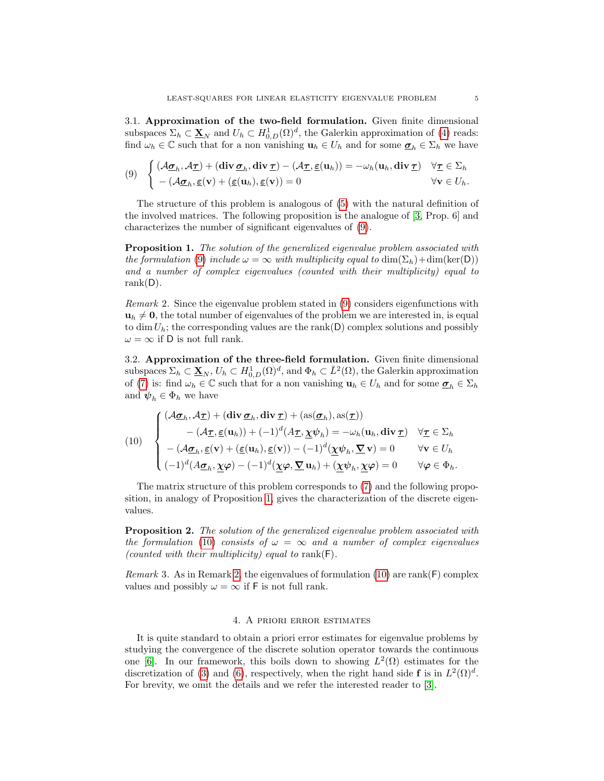3.1. Approximation of the two-field formulation. Given finite dimensional subspaces  $\Sigma_h \subset \underline{\mathbf{X}}_N$  and  $U_h \subset H^1_{0,D}(\Omega)^d$ , the Galerkin approximation of [\(4\)](#page-2-1) reads: find  $\omega_h \in \mathbb{C}$  such that for a non vanishing  $\mathbf{u}_h \in U_h$  and for some  $\underline{\sigma}_h \in \Sigma_h$  we have

<span id="page-4-0"></span>
$$
(9) \quad \begin{cases} (\mathcal{A}_{\underline{\sigma}_h}, \mathcal{A}_{\underline{\tau}}) + (\operatorname{div}_{\underline{\sigma}_h}, \operatorname{div}_{\underline{\tau}}) - (\mathcal{A}_{\underline{\tau}}, \underline{\varepsilon}(\mathbf{u}_h)) = -\omega_h(\mathbf{u}_h, \operatorname{div}_{\underline{\tau}}) & \forall \underline{\tau} \in \Sigma_h \\ - (\mathcal{A}_{\underline{\sigma}_h}, \underline{\varepsilon}(\mathbf{v}) + (\underline{\varepsilon}(\mathbf{u}_h), \underline{\varepsilon}(\mathbf{v})) = 0 & \forall \mathbf{v} \in U_h. \end{cases}
$$

The structure of this problem is analogous of [\(5\)](#page-2-2) with the natural definition of the involved matrices. The following proposition is the analogue of [\[3,](#page-10-0) Prop. 6] and characterizes the number of significant eigenvalues of [\(9\)](#page-4-0).

<span id="page-4-1"></span>**Proposition 1.** The solution of the generalized eigenvalue problem associated with the formulation [\(9\)](#page-4-0) include  $\omega = \infty$  with multiplicity equal to  $\dim(\Sigma_h)+\dim(\ker(D))$ and a number of complex eigenvalues (counted with their multiplicity) equal to rank $(D)$ .

<span id="page-4-3"></span>Remark 2. Since the eigenvalue problem stated in [\(9\)](#page-4-0) considers eigenfunctions with  $u_h \neq 0$ , the total number of eigenvalues of the problem we are interested in, is equal to dim  $U_h$ ; the corresponding values are the rank(D) complex solutions and possibly  $\omega = \infty$  if D is not full rank.

3.2. Approximation of the three-field formulation. Given finite dimensional subspaces  $\Sigma_h \subset \underline{\mathbf{X}}_N, U_h \subset H^1_{0,D}(\Omega)^d$ , and  $\Phi_h \subset \overline{L}^2(\Omega)$ , the Galerkin approximation of [\(7\)](#page-3-0) is: find  $\omega_h \in \mathbb{C}$  such that for a non vanishing  $\mathbf{u}_h \in U_h$  and for some  $\underline{\sigma}_h \in \Sigma_h$ and  $\psi_h \in \Phi_h$  we have

<span id="page-4-2"></span>(10)  
\n
$$
\begin{cases}\n(\mathcal{A}\underline{\sigma}_h, \mathcal{A}\underline{\tau}) + (\mathbf{div}\,\underline{\sigma}_h, \mathbf{div}\,\underline{\tau}) + (\mathrm{as}(\underline{\sigma}_h), \mathrm{as}(\underline{\tau})) \\
-(\mathcal{A}\underline{\tau}, \underline{\varepsilon}(\mathbf{u}_h)) + (-1)^d (\mathcal{A}\underline{\tau}, \underline{\chi}\psi_h) = -\omega_h(\mathbf{u}_h, \mathbf{div}\,\underline{\tau}) \quad \forall \underline{\tau} \in \Sigma_h \\
-(\mathcal{A}\underline{\sigma}_h, \underline{\varepsilon}(\mathbf{v}) + (\underline{\varepsilon}(\mathbf{u}_h), \underline{\varepsilon}(\mathbf{v})) - (-1)^d (\underline{\chi}\psi_h, \underline{\nabla}\,\mathbf{v}) = 0 \qquad \forall \mathbf{v} \in U_h \\
(-1)^d (\mathcal{A}\underline{\sigma}_h, \underline{\chi}\varphi) - (-1)^d (\underline{\chi}\varphi, \underline{\nabla}\,\mathbf{u}_h) + (\underline{\chi}\psi_h, \underline{\chi}\varphi) = 0 \qquad \forall \varphi \in \Phi_h.\n\end{cases}
$$

The matrix structure of this problem corresponds to [\(7\)](#page-3-0) and the following proposition, in analogy of Proposition [1,](#page-4-1) gives the characterization of the discrete eigenvalues.

**Proposition 2.** The solution of the generalized eigenvalue problem associated with the formulation [\(10\)](#page-4-2) consists of  $\omega = \infty$  and a number of complex eigenvalues (counted with their multiplicity) equal to rank( $F$ ).

Remark 3. As in Remark [2,](#page-4-3) the eigenvalues of formulation [\(10\)](#page-4-2) are rank( $F$ ) complex values and possibly  $\omega = \infty$  if F is not full rank.

## 4. A priori error estimates

It is quite standard to obtain a priori error estimates for eigenvalue problems by studying the convergence of the discrete solution operator towards the continuous one [\[6\]](#page-10-4). In our framework, this boils down to showing  $L^2(\Omega)$  estimates for the discretization of [\(3\)](#page-2-3) and [\(6\)](#page-3-1), respectively, when the right hand side f is in  $L^2(\Omega)^d$ . For brevity, we omit the details and we refer the interested reader to [\[3\]](#page-10-0).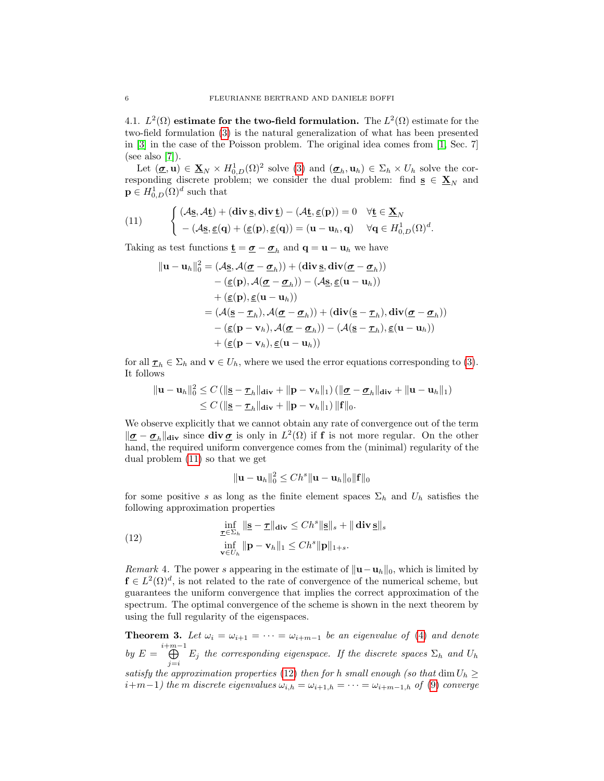4.1.  $L^2(\Omega)$  estimate for the two-field formulation. The  $L^2(\Omega)$  estimate for the two-field formulation [\(3\)](#page-2-3) is the natural generalization of what has been presented in [\[3\]](#page-10-0) in the case of the Poisson problem. The original idea comes from [\[1,](#page-10-5) Sec. 7] (see also [\[7\]](#page-10-6)).

Let  $(\mathbf{\underline{\sigma}}, \mathbf{u}) \in \mathbf{\underline{X}}_N \times H^1_{0,D}(\Omega)^2$  solve [\(3\)](#page-2-3) and  $(\mathbf{\underline{\sigma}}_h, \mathbf{u}_h) \in \Sigma_h \times U_h$  solve the corresponding discrete problem; we consider the dual problem: find  $s \in \mathbf{X}_N$  and  $\mathbf{p} \in H^1_{0,D}(\Omega)^d$  such that

<span id="page-5-0"></span>(11) 
$$
\begin{cases} (\mathcal{A}\underline{\mathbf{s}}, \mathcal{A}\underline{\mathbf{t}}) + (\mathbf{div}\,\underline{\mathbf{s}}, \mathbf{div}\,\underline{\mathbf{t}}) - (\mathcal{A}\underline{\mathbf{t}}, \underline{\boldsymbol{\varepsilon}}(\mathbf{p})) = 0 & \forall \underline{\mathbf{t}} \in \underline{\mathbf{X}}_N \\ - (\mathcal{A}\underline{\mathbf{s}}, \underline{\boldsymbol{\varepsilon}}(\mathbf{q}) + (\underline{\boldsymbol{\varepsilon}}(\mathbf{p}), \underline{\boldsymbol{\varepsilon}}(\mathbf{q})) = (\mathbf{u} - \mathbf{u}_h, \mathbf{q}) & \forall \mathbf{q} \in H_{0,D}^1(\Omega)^d. \end{cases}
$$

Taking as test functions  $\underline{\mathbf{t}} = \underline{\boldsymbol{\sigma}} - \underline{\boldsymbol{\sigma}}_h$  and  $\mathbf{q} = \mathbf{u} - \mathbf{u}_h$  we have

$$
\|\mathbf{u} - \mathbf{u}_h\|_0^2 = (\mathcal{A}\underline{\mathbf{s}}, \mathcal{A}(\underline{\boldsymbol{\sigma}} - \underline{\boldsymbol{\sigma}}_h)) + (\mathbf{div}\,\underline{\mathbf{s}}, \mathbf{div}(\underline{\boldsymbol{\sigma}} - \underline{\boldsymbol{\sigma}}_h))
$$
  
\n
$$
- (\underline{\boldsymbol{\varepsilon}}(\mathbf{p}), \mathcal{A}(\underline{\boldsymbol{\sigma}} - \underline{\boldsymbol{\sigma}}_h)) - (\mathcal{A}\underline{\mathbf{s}}, \underline{\boldsymbol{\varepsilon}}(\mathbf{u} - \mathbf{u}_h))
$$
  
\n
$$
+ (\underline{\boldsymbol{\varepsilon}}(\mathbf{p}), \underline{\boldsymbol{\varepsilon}}(\mathbf{u} - \mathbf{u}_h))
$$
  
\n
$$
= (\mathcal{A}(\underline{\mathbf{s}} - \underline{\boldsymbol{\tau}}_h), \mathcal{A}(\underline{\boldsymbol{\sigma}} - \underline{\boldsymbol{\sigma}}_h)) + (\mathbf{div}(\underline{\mathbf{s}} - \underline{\boldsymbol{\tau}}_h), \mathbf{div}(\underline{\boldsymbol{\sigma}} - \underline{\boldsymbol{\sigma}}_h))
$$
  
\n
$$
- (\underline{\boldsymbol{\varepsilon}}(\mathbf{p} - \mathbf{v}_h), \mathcal{A}(\underline{\boldsymbol{\sigma}} - \underline{\boldsymbol{\sigma}}_h)) - (\mathcal{A}(\underline{\mathbf{s}} - \underline{\boldsymbol{\tau}}_h), \underline{\boldsymbol{\varepsilon}}(\mathbf{u} - \mathbf{u}_h))
$$
  
\n
$$
+ (\underline{\boldsymbol{\varepsilon}}(\mathbf{p} - \mathbf{v}_h), \underline{\boldsymbol{\varepsilon}}(\mathbf{u} - \mathbf{u}_h))
$$

for all  $\underline{\tau}_h \in \Sigma_h$  and  $\mathbf{v} \in U_h$ , where we used the error equations corresponding to [\(3\)](#page-2-3). It follows

$$
\|\mathbf{u}-\mathbf{u}_h\|_0^2 \leq C \left( \|\mathbf{s}-\mathbf{\mathbf{\underline{\tau}}}_h\|_{\text{div}} + \|\mathbf{p}-\mathbf{v}_h\|_1 \right) \left( \|\mathbf{\underline{\sigma}}-\mathbf{\underline{\sigma}}_h\|_{\text{div}} + \|\mathbf{u}-\mathbf{u}_h\|_1 \right) \newline \leq C \left( \|\mathbf{s}-\mathbf{\underline{\tau}}_h\|_{\text{div}} + \|\mathbf{p}-\mathbf{v}_h\|_1 \right) \|\mathbf{f}\|_0.
$$

We observe explicitly that we cannot obtain any rate of convergence out of the term  $\|\underline{\sigma}-\underline{\sigma}_h\|_{\text{div}}$  since  $\text{div}\,\underline{\sigma}$  is only in  $L^2(\Omega)$  if f is not more regular. On the other hand, the required uniform convergence comes from the (minimal) regularity of the dual problem [\(11\)](#page-5-0) so that we get

<span id="page-5-1"></span>
$$
\|\mathbf{u}-\mathbf{u}_h\|_0^2 \le Ch^s \|\mathbf{u}-\mathbf{u}_h\|_0 \|\mathbf{f}\|_0
$$

for some positive s as long as the finite element spaces  $\Sigma_h$  and  $U_h$  satisfies the following approximation properties

(12) 
$$
\inf_{\substack{\underline{\tau} \in \Sigma_h \\ \mathbf{v} \in U_h}} \|\mathbf{S} - \underline{\tau}\|_{\mathbf{div}} \le C h^s \|\mathbf{S}\|_s + \|\mathbf{div}\,\mathbf{S}\|_s
$$

$$
\inf_{\mathbf{v} \in U_h} \|\mathbf{p} - \mathbf{v}_h\|_1 \le C h^s \|\mathbf{p}\|_{1+s}.
$$

<span id="page-5-2"></span>Remark 4. The power s appearing in the estimate of  $\|\mathbf{u}-\mathbf{u}_h\|_0$ , which is limited by  $f \in L^2(\Omega)^d$ , is not related to the rate of convergence of the numerical scheme, but guarantees the uniform convergence that implies the correct approximation of the spectrum. The optimal convergence of the scheme is shown in the next theorem by using the full regularity of the eigenspaces.

<span id="page-5-3"></span>**Theorem 3.** Let  $\omega_i = \omega_{i+1} = \cdots = \omega_{i+m-1}$  be an eigenvalue of [\(4\)](#page-2-1) and denote by  $E = \bigoplus^{i+m-1}$  $\bigoplus_{j=i}$   $E_j$  the corresponding eigenspace. If the discrete spaces  $\Sigma_h$  and  $U_h$ satisfy the approximation properties [\(12\)](#page-5-1) then for h small enough (so that  $\dim U_h \geq$  $i+m-1$ ) the m discrete eigenvalues  $\omega_{i,h} = \omega_{i+1,h} = \cdots = \omega_{i+m-1,h}$  of [\(9\)](#page-4-0) converge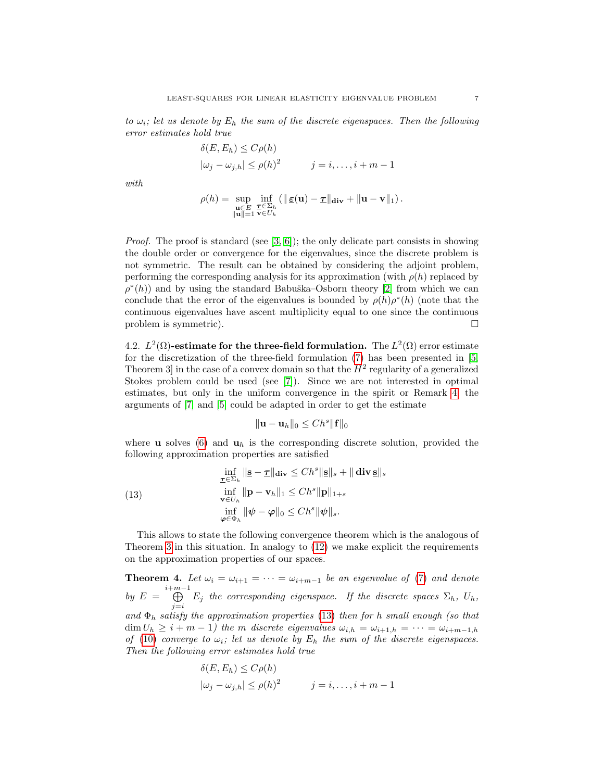to  $\omega_i$ ; let us denote by  $E_h$  the sum of the discrete eigenspaces. Then the following error estimates hold true

$$
\delta(E, E_h) \le C\rho(h)
$$
  

$$
|\omega_j - \omega_{j,h}| \le \rho(h)^2 \qquad j = i, \dots, i + m - 1
$$

with

$$
\rho(h) = \sup_{\substack{\mathbf{u} \in E \\ \|\mathbf{u}\| = 1}} \inf_{\substack{\mathbf{v} \in \Sigma_h \\ \mathbf{v} \in U_h}} (\|\mathbf{g}(\mathbf{u}) - \mathbf{v}\|_{\mathbf{div}} + \|\mathbf{u} - \mathbf{v}\|_1).
$$

*Proof.* The proof is standard (see  $[3, 6]$  $[3, 6]$ ); the only delicate part consists in showing the double order or convergence for the eigenvalues, since the discrete problem is not symmetric. The result can be obtained by considering the adjoint problem, performing the corresponding analysis for its approximation (with  $\rho(h)$  replaced by  $\rho^*(h)$  and by using the standard Babuška–Osborn theory [\[2\]](#page-10-3) from which we can conclude that the error of the eigenvalues is bounded by  $\rho(h) \rho^*(h)$  (note that the continuous eigenvalues have ascent multiplicity equal to one since the continuous problem is symmetric).

4.2.  $L^2(\Omega)$ -estimate for the three-field formulation. The  $L^2(\Omega)$  error estimate for the discretization of the three-field formulation [\(7\)](#page-3-0) has been presented in [\[5,](#page-10-2) Theorem 3 in the case of a convex domain so that the  $H^2$  regularity of a generalized Stokes problem could be used (see [\[7\]](#page-10-6)). Since we are not interested in optimal estimates, but only in the uniform convergence in the spirit or Remark [4,](#page-5-2) the arguments of [\[7\]](#page-10-6) and [\[5\]](#page-10-2) could be adapted in order to get the estimate

<span id="page-6-0"></span>
$$
\|\mathbf{u}-\mathbf{u}_h\|_0 \leq C h^s \|\mathbf{f}\|_0
$$

where **u** solves [\(6\)](#page-3-1) and  $\mathbf{u}_h$  is the corresponding discrete solution, provided the following approximation properties are satisfied

(13) 
$$
\inf_{\substack{\underline{\tau} \in \Sigma_h \\ \mathbf{v} \in U_h}} \|\mathbf{g} - \underline{\tau}\|_{\mathbf{div}} \le C h^s \|\mathbf{g}\|_s + \|\mathbf{div}\,\mathbf{g}\|_s
$$

$$
\inf_{\mathbf{v} \in U_h} \|\mathbf{p} - \mathbf{v}_h\|_1 \le C h^s \|\mathbf{p}\|_{1+s}
$$

$$
\inf_{\varphi \in \Phi_h} \|\psi - \varphi\|_0 \le C h^s \|\psi\|_s.
$$

This allows to state the following convergence theorem which is the analogous of Theorem [3](#page-5-3) in this situation. In analogy to [\(12\)](#page-5-1) we make explicit the requirements on the approximation properties of our spaces.

<span id="page-6-1"></span>**Theorem 4.** Let  $\omega_i = \omega_{i+1} = \cdots = \omega_{i+m-1}$  be an eigenvalue of [\(7\)](#page-3-0) and denote by  $E = \bigoplus^{i+m-1}$  $\bigoplus_{j=i} E_j$  the corresponding eigenspace. If the discrete spaces  $\Sigma_h$ ,  $U_h$ , and  $\Phi_h$  satisfy the approximation properties [\(13\)](#page-6-0) then for h small enough (so that  $\dim U_h \geq i + m - 1$ ) the m discrete eigenvalues  $\omega_{i,h} = \omega_{i+1,h} = \cdots = \omega_{i+m-1,h}$ of [\(10\)](#page-4-2) converge to  $\omega_i$ ; let us denote by  $E_h$  the sum of the discrete eigenspaces. Then the following error estimates hold true

$$
\delta(E, E_h) \le C\rho(h)
$$
  

$$
|\omega_j - \omega_{j,h}| \le \rho(h)^2 \qquad j = i, \dots, i + m - 1
$$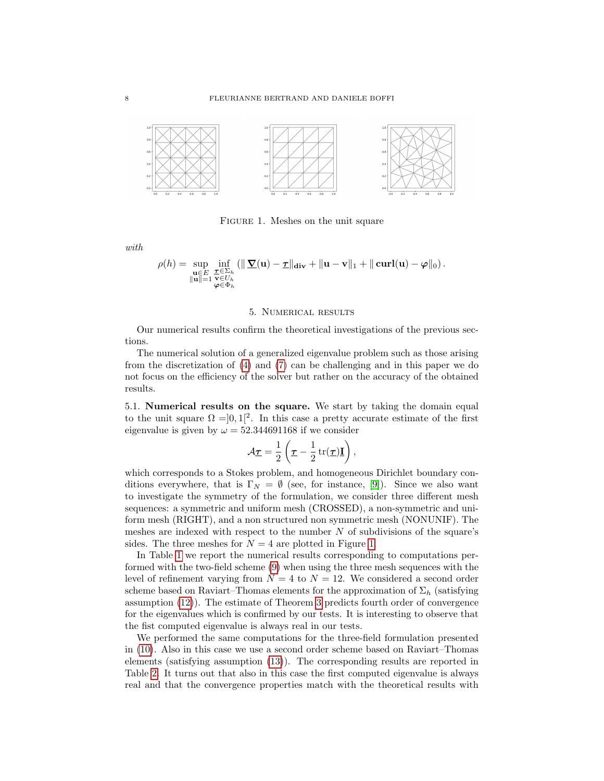

<span id="page-7-1"></span>Figure 1. Meshes on the unit square

with

$$
\rho(h) = \sup_{\substack{\mathbf{u} \in E \\ \|\mathbf{u}\| = 1}} \inf_{\substack{\mathbf{\tau} \in \Sigma_h \\ \mathbf{\varphi} \in \Phi_h}} (\|\mathbf{\nabla}(\mathbf{u}) - \mathbf{\tau}\|_{\mathbf{div}} + \|\mathbf{u} - \mathbf{v}\|_1 + \|\mathbf{curl}(\mathbf{u}) - \mathbf{\varphi}\|_0).
$$

### 5. Numerical results

<span id="page-7-0"></span>Our numerical results confirm the theoretical investigations of the previous sections.

The numerical solution of a generalized eigenvalue problem such as those arising from the discretization of [\(4\)](#page-2-1) and [\(7\)](#page-3-0) can be challenging and in this paper we do not focus on the efficiency of the solver but rather on the accuracy of the obtained results.

5.1. Numerical results on the square. We start by taking the domain equal to the unit square  $\Omega = ]0,1[^2$ . In this case a pretty accurate estimate of the first eigenvalue is given by  $\omega = 52.344691168$  if we consider

$$
\mathcal{A}_{\mathcal{I}} = \frac{1}{2} \left( \mathcal{I} - \frac{1}{2} \operatorname{tr}(\mathcal{I}) \mathbf{I} \right),
$$

which corresponds to a Stokes problem, and homogeneous Dirichlet boundary conditions everywhere, that is  $\Gamma_N = \emptyset$  (see, for instance, [\[9\]](#page-10-7)). Since we also want to investigate the symmetry of the formulation, we consider three different mesh sequences: a symmetric and uniform mesh (CROSSED), a non-symmetric and uniform mesh (RIGHT), and a non structured non symmetric mesh (NONUNIF). The meshes are indexed with respect to the number  $N$  of subdivisions of the square's sides. The three meshes for  $N = 4$  are plotted in Figure [1.](#page-7-1)

In Table [1](#page-8-0) we report the numerical results corresponding to computations performed with the two-field scheme [\(9\)](#page-4-0) when using the three mesh sequences with the level of refinement varying from  $N = 4$  to  $N = 12$ . We considered a second order scheme based on Raviart–Thomas elements for the approximation of  $\Sigma_h$  (satisfying assumption [\(12\)](#page-5-1)). The estimate of Theorem [3](#page-5-3) predicts fourth order of convergence for the eigenvalues which is confirmed by our tests. It is interesting to observe that the fist computed eigenvalue is always real in our tests.

We performed the same computations for the three-field formulation presented in [\(10\)](#page-4-2). Also in this case we use a second order scheme based on Raviart–Thomas elements (satisfying assumption [\(13\)](#page-6-0)). The corresponding results are reported in Table [2.](#page-8-1) It turns out that also in this case the first computed eigenvalue is always real and that the convergence properties match with the theoretical results with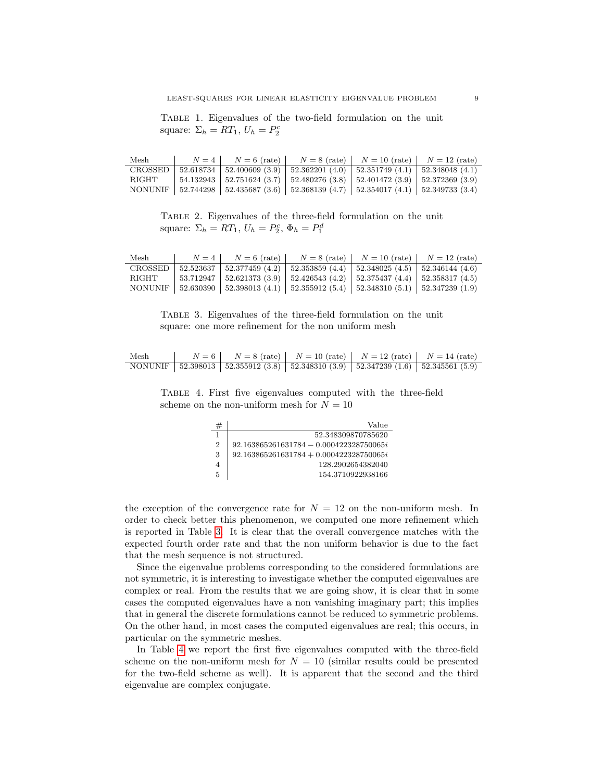<span id="page-8-0"></span>Table 1. Eigenvalues of the two-field formulation on the unit square:  $\Sigma_h = RT_1, U_h = P_2^c$ 

| Mesh  | $N=4$ | $N=6$ (rate) | $N = 8$ (rate)   $N = 10$ (rate)   $N = 12$ (rate)                                          |  |
|-------|-------|--------------|---------------------------------------------------------------------------------------------|--|
|       |       |              | CROSSED   52.618734   52.400609 (3.9)   52.362201 (4.0)   52.351749 (4.1)   52.348048 (4.1) |  |
| RIGHT |       |              | $54.132943$   $52.751624$ (3.7)   $52.480276$ (3.8)   $52.401472$ (3.9)   $52.372369$ (3.9) |  |
|       |       |              | NONUNIF   52.744298   52.435687 (3.6)   52.368139 (4.7)   52.354017 (4.1)   52.349733 (3.4) |  |

<span id="page-8-1"></span>Table 2. Eigenvalues of the three-field formulation on the unit square:  $\Sigma_h = RT_1$ ,  $U_h = P_2^c$ ,  $\Phi_h = P_1^d$ 

| Mesh  | $N=4$ |                                                                                             | $N = 6$ (rate) $N = 8$ (rate) $N = 10$ (rate) $N = 12$ (rate) |  |
|-------|-------|---------------------------------------------------------------------------------------------|---------------------------------------------------------------|--|
|       |       | CROSSED   52.523637   52.377459 (4.2)   52.353859 (4.4)   52.348025 (4.5)   52.346144 (4.6) |                                                               |  |
| RIGHT |       | 53.712947   52.621373 (3.9)   52.426543 (4.2)   52.375437 (4.4)   52.358317 (4.5)           |                                                               |  |
|       |       | NONUNIF   52.630390   52.398013 (4.1)   52.355912 (5.4)   52.348310 (5.1)   52.347239 (1.9) |                                                               |  |

<span id="page-8-2"></span>Table 3. Eigenvalues of the three-field formulation on the unit square: one more refinement for the non uniform mesh

| Mesh | $N = 6$   $N = 8$ (rate)   $N = 10$ (rate)   $N = 12$ (rate)   $N = 14$ (rate)              |  |  |
|------|---------------------------------------------------------------------------------------------|--|--|
|      | NONUNIF   52.398013   52.355912 (3.8)   52.348310 (3.9)   52.347239 (1.6)   52.345561 (5.9) |  |  |

Table 4. First five eigenvalues computed with the three-field scheme on the non-uniform mesh for  $N = 10$ 

<span id="page-8-3"></span>

| #              | Value                                     |
|----------------|-------------------------------------------|
|                | 52.348309870785620                        |
| $\overline{2}$ | $92.163865261631784 - 0.000422328750065i$ |
| 3              | $92.163865261631784 + 0.000422328750065i$ |
| 4              | 128.2902654382040                         |
| 5              | 154.3710922938166                         |

the exception of the convergence rate for  $N = 12$  on the non-uniform mesh. In order to check better this phenomenon, we computed one more refinement which is reported in Table [3.](#page-8-2) It is clear that the overall convergence matches with the expected fourth order rate and that the non uniform behavior is due to the fact that the mesh sequence is not structured.

Since the eigenvalue problems corresponding to the considered formulations are not symmetric, it is interesting to investigate whether the computed eigenvalues are complex or real. From the results that we are going show, it is clear that in some cases the computed eigenvalues have a non vanishing imaginary part; this implies that in general the discrete formulations cannot be reduced to symmetric problems. On the other hand, in most cases the computed eigenvalues are real; this occurs, in particular on the symmetric meshes.

In Table [4](#page-8-3) we report the first five eigenvalues computed with the three-field scheme on the non-uniform mesh for  $N = 10$  (similar results could be presented for the two-field scheme as well). It is apparent that the second and the third eigenvalue are complex conjugate.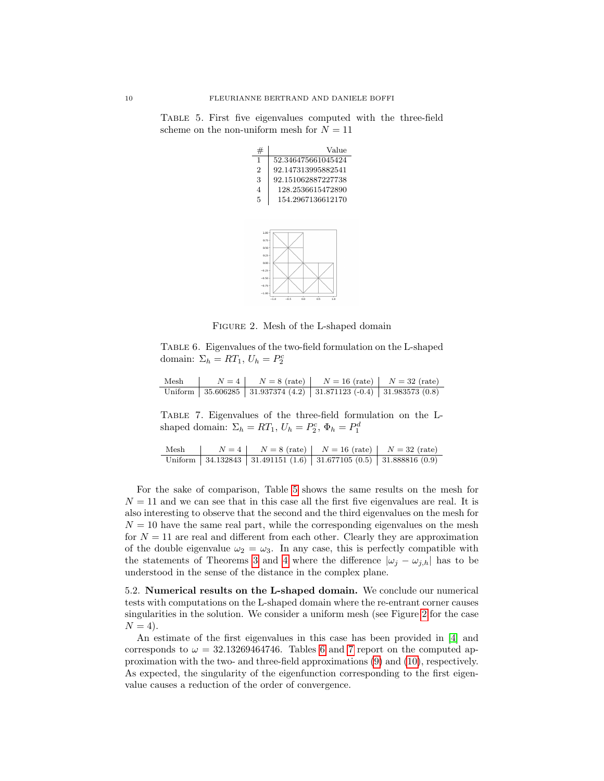<span id="page-9-0"></span>Table 5. First five eigenvalues computed with the three-field scheme on the non-uniform mesh for  $N = 11$ 

| #              | Value              |
|----------------|--------------------|
| 1              | 52.346475661045424 |
| $\overline{2}$ | 92.147313995882541 |
| 3              | 92.151062887227738 |
| $\overline{4}$ | 128.2536615472890  |
| 5              | 154.2967136612170  |
|                |                    |
|                |                    |
|                |                    |
| 1.00           |                    |
| 0.75           |                    |
| $R = R$        |                    |



<span id="page-9-2"></span><span id="page-9-1"></span>Figure 2. Mesh of the L-shaped domain

Table 6. Eigenvalues of the two-field formulation on the L-shaped domain:  $\Sigma_h = RT_1, U_h = P_2^c$ 

| Mesh |  | $N = 4$   $N = 8$ (rate)   $N = 16$ (rate)   $N = 32$ (rate)               |  |
|------|--|----------------------------------------------------------------------------|--|
|      |  | Uniform   35.606285   31.937374 (4.2)   31.871123 (-0.4)   31.983573 (0.8) |  |

<span id="page-9-3"></span>Table 7. Eigenvalues of the three-field formulation on the Lshaped domain:  $\Sigma_h = RT_1, U_h = P_2^c, \Phi_h = P_1^d$ 

| Mesh | $N = 4$   $N = 8$ (rate)   $N = 16$ (rate)   $N = 32$ (rate)                    |  |
|------|---------------------------------------------------------------------------------|--|
|      | Uniform   34.132843   31.491151 $(1.6)$   31.677105 $(0.5)$   31.888816 $(0.9)$ |  |

For the sake of comparison, Table [5](#page-9-0) shows the same results on the mesh for  $N = 11$  and we can see that in this case all the first five eigenvalues are real. It is also interesting to observe that the second and the third eigenvalues on the mesh for  $N = 10$  have the same real part, while the corresponding eigenvalues on the mesh for  $N = 11$  are real and different from each other. Clearly they are approximation of the double eigenvalue  $\omega_2 = \omega_3$ . In any case, this is perfectly compatible with the statements of Theorems [3](#page-5-3) and [4](#page-6-1) where the difference  $|\omega_j - \omega_{j,h}|$  has to be understood in the sense of the distance in the complex plane.

5.2. Numerical results on the L-shaped domain. We conclude our numerical tests with computations on the L-shaped domain where the re-entrant corner causes singularities in the solution. We consider a uniform mesh (see Figure [2](#page-9-1) for the case  $N = 4$ ).

An estimate of the first eigenvalues in this case has been provided in [\[4\]](#page-10-8) and corresponds to  $\omega = 32.13269464746$ . Tables [6](#page-9-2) and [7](#page-9-3) report on the computed approximation with the two- and three-field approximations [\(9\)](#page-4-0) and [\(10\)](#page-4-2), respectively. As expected, the singularity of the eigenfunction corresponding to the first eigenvalue causes a reduction of the order of convergence.